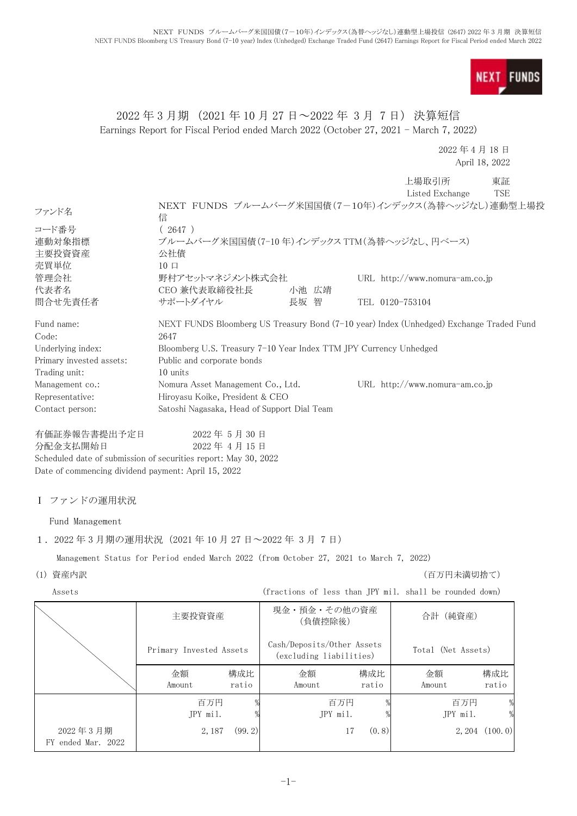**NEXT FUNDS** 

## 2022 年 3 月期 (2021 年 10 月 27 日~2022 年 3 月 7 日) 決算短信 Earnings Report for Fiscal Period ended March 2022 (October 27, 2021 - March 7, 2022)

2022 年 4 月 18 日 April 18, 2022

|                          |                                                                                         |       |                 | 上場取引所<br>Listed Exchange         | 東証<br>TSE |
|--------------------------|-----------------------------------------------------------------------------------------|-------|-----------------|----------------------------------|-----------|
| ファンド名                    | NEXT FUNDS ブルームバーグ米国国債(7-10年)インデックス(為替ヘッジなし)連動型上場投<br>信                                 |       |                 |                                  |           |
| コード番号                    | (2647)                                                                                  |       |                 |                                  |           |
| 連動対象指標                   | ブルームバーグ米国国債(7-10年)インデックス TTM(為替ヘッジなし、円ベース)                                              |       |                 |                                  |           |
| 主要投資資産                   | 公社債                                                                                     |       |                 |                                  |           |
| 売買単位                     | $10 \Box$                                                                               |       |                 |                                  |           |
| 管理会社                     | 野村アセットマネジメント株式会社                                                                        |       |                 | URL $http://www.nomura-am.co.jp$ |           |
| 代表者名                     | CEO 兼代表取締役社長                                                                            | 小池 広靖 |                 |                                  |           |
| 問合せ先責任者                  | サポートダイヤル                                                                                | 長坂 智  | TEL 0120-753104 |                                  |           |
| Fund name:               | NEXT FUNDS Bloomberg US Treasury Bond (7-10 year) Index (Unhedged) Exchange Traded Fund |       |                 |                                  |           |
| Code:                    | 2647                                                                                    |       |                 |                                  |           |
| Underlying index:        | Bloomberg U.S. Treasury 7-10 Year Index TTM JPY Currency Unhedged                       |       |                 |                                  |           |
| Primary invested assets: | Public and corporate bonds                                                              |       |                 |                                  |           |
| Trading unit:            | 10 units                                                                                |       |                 |                                  |           |
| Management co.:          | Nomura Asset Management Co., Ltd.                                                       |       |                 | URL $http://www.nomura-am.co.jp$ |           |
| Representative:          | Hiroyasu Koike, President & CEO                                                         |       |                 |                                  |           |
| Contact person:          | Satoshi Nagasaka, Head of Support Dial Team                                             |       |                 |                                  |           |
| 有価証券報告書提出予定日             | 2022年5月30日                                                                              |       |                 |                                  |           |

分配金支払開始日 2022 年 4 月 15 日

Scheduled date of submission of securities report: May 30, 2022 Date of commencing dividend payment: April 15, 2022

### Ⅰ ファンドの運用状況

Fund Management

1.2022 年 3 月期の運用状況(2021 年 10 月 27 日~2022 年 3 月 7 日)

Management Status for Period ended March 2022 (from October 27, 2021 to March 7, 2022)

## (1) 資産内訳 (百万円未満切捨て)

Assets (fractions of less than JPY mil. shall be rounded down)

|                                | 主要投資資産                  |                                                                             | 現金・預金・その他の資産<br>(負債控除後) |              | 合計 (純資産)        |                     |
|--------------------------------|-------------------------|-----------------------------------------------------------------------------|-------------------------|--------------|-----------------|---------------------|
|                                | Primary Invested Assets | Cash/Deposits/Other Assets<br>Total (Net Assets)<br>(excluding liabilities) |                         |              |                 |                     |
|                                | 金額<br>Amount            | 構成比<br>ratio                                                                | 金額<br>Amount            | 構成比<br>ratio | 金額<br>Amount    | 構成比<br>ratio        |
|                                | 百万円<br>JPY mil.         |                                                                             | 百万円<br>JPY mil.         |              | 百万円<br>JPY mil. | $\frac{0}{0}$       |
| 2022年3月期<br>FY ended Mar. 2022 | 2, 187                  | (99.2)                                                                      | 17                      | (0, 8)       |                 | $2, 204$ $(100, 0)$ |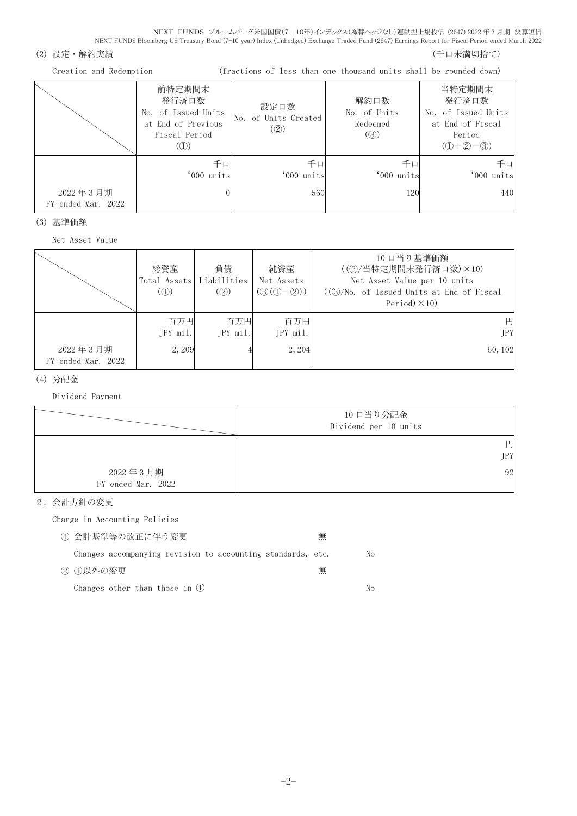#### (2) 設定・解約実績 (5) さんじょう あんしゃ インター・コンクリック (千口未満切捨て)

Creation and Redemption (fractions of less than one thousand units shall be rounded down)

|                                | 前特定期間末<br>発行済口数<br>No. of Issued Units<br>at End of Previous<br>Fiscal Period<br>(1) | 設定口数<br>No. of Units Created<br>(2) | 解約口数<br>No. of Units<br>Redeemed<br>$\left( \circledS \right)$ | 当特定期間末<br>発行済口数<br>No. of Issued Units<br>at End of Fiscal<br>Period<br>$(①+②-③)$ |
|--------------------------------|--------------------------------------------------------------------------------------|-------------------------------------|----------------------------------------------------------------|-----------------------------------------------------------------------------------|
| 2022年3月期<br>FY ended Mar. 2022 | 千口<br>'000 units                                                                     | 千口<br>'000 units<br>560             | 千口<br>'000 units<br>120                                        | 千口<br>'000 units<br>440                                                           |

(3) 基準価額

Net Asset Value

|                    | 総資産<br>Total Assets<br>$\mathcal{L}(\mathbb{D})$ | 負債<br>Liabilities<br>(②) | 純資産<br>Net Assets<br>$(Q(Q(-Q)))$ | 10 口当り基準価額<br>((3)/当特定期間末発行済口数)×10)<br>Net Asset Value per 10 units<br>$((\textcircled{3}/\text{No. of } I$ ssued Units at End of Fiscal<br>Period $)\times$ 10) |
|--------------------|--------------------------------------------------|--------------------------|-----------------------------------|------------------------------------------------------------------------------------------------------------------------------------------------------------------|
| 2022年3月期           | 百万円<br>JPY mil.<br>2, 209                        | 百万円<br>JPY mil.          | 百万円<br>JPY mil.<br>2, 204         | 円<br><b>JPY</b><br>50, 102                                                                                                                                       |
| FY ended Mar. 2022 |                                                  |                          |                                   |                                                                                                                                                                  |

#### (4) 分配金

Dividend Payment



2.会計方針の変更

Change in Accounting Policies

| (1) 会計基準等の改正に伴う変更                                           | 無 |     |
|-------------------------------------------------------------|---|-----|
| Changes accompanying revision to accounting standards, etc. |   | No. |
| ② ①以外の変更                                                    | 無 |     |
| Changes other than those in (1)                             |   | No. |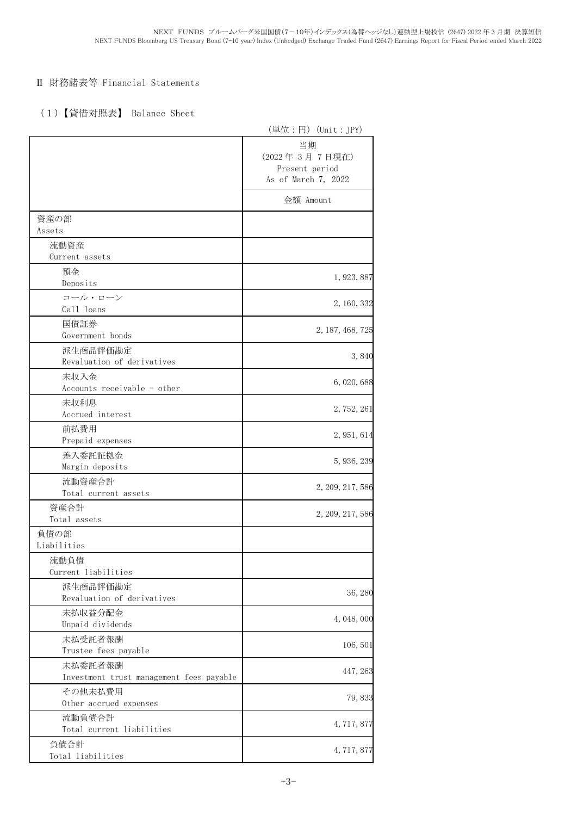## Ⅱ 財務諸表等 Financial Statements

# (1)【貸借対照表】 Balance Sheet

|                                          | (単位:円) (Unit:JPY)                                            |
|------------------------------------------|--------------------------------------------------------------|
|                                          | 当期<br>(2022年3月7日現在)<br>Present period<br>As of March 7, 2022 |
|                                          | 金額 Amount                                                    |
| 資産の部                                     |                                                              |
| Assets                                   |                                                              |
| 流動資産<br>Current assets                   |                                                              |
| 預金                                       |                                                              |
| Deposits                                 | 1, 923, 887                                                  |
| コール・ローン                                  |                                                              |
| Call loans                               | 2, 160, 332                                                  |
| 国債証券                                     |                                                              |
| Government bonds                         | 2, 187, 468, 725                                             |
| 派生商品評価勘定                                 |                                                              |
| Revaluation of derivatives               | 3,840                                                        |
| 未収入金                                     |                                                              |
| Accounts receivable - other              | 6, 020, 688                                                  |
| 未収利息                                     |                                                              |
| Accrued interest                         | 2, 752, 261                                                  |
| 前払費用                                     |                                                              |
| Prepaid expenses                         | 2, 951, 614                                                  |
| 差入委託証拠金                                  |                                                              |
| Margin deposits                          | 5, 936, 239                                                  |
| 流動資産合計                                   |                                                              |
| Total current assets                     | 2, 209, 217, 586                                             |
| 資産合計                                     |                                                              |
| Total assets                             | 2, 209, 217, 586                                             |
| 負債の部                                     |                                                              |
| Liabilities                              |                                                              |
| 流動負債                                     |                                                              |
| Current liabilities                      |                                                              |
| 派生商品評価勘定                                 | 36, 280                                                      |
| Revaluation of derivatives               |                                                              |
| 未払収益分配金                                  | 4, 048, 000                                                  |
| Unpaid dividends                         |                                                              |
| 未払受託者報酬                                  | 106,501                                                      |
| Trustee fees payable                     |                                                              |
| 未払委託者報酬                                  | 447, 263                                                     |
| Investment trust management fees payable |                                                              |
| その他未払費用                                  | 79,833                                                       |
| Other accrued expenses                   |                                                              |
| 流動負債合計                                   | 4, 717, 877                                                  |
| Total current liabilities                |                                                              |
| 負債合計                                     | 4, 717, 877                                                  |
| Total liabilities                        |                                                              |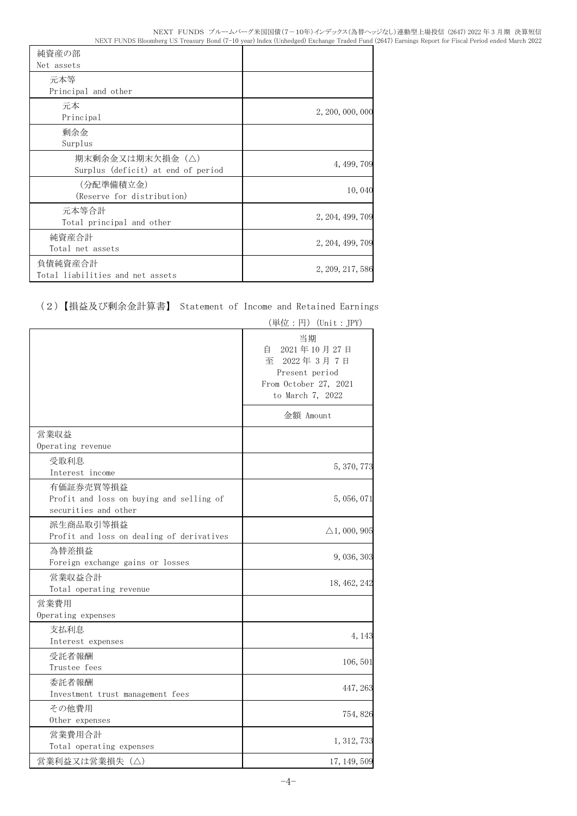| 純資産の部                                                 |                  |
|-------------------------------------------------------|------------------|
| Net assets                                            |                  |
| 元本等                                                   |                  |
| Principal and other                                   |                  |
| 元本<br>Principal                                       | 2, 200, 000, 000 |
| 剰余金<br>Surplus                                        |                  |
| 期末剰余金又は期末欠損金(△)<br>Surplus (deficit) at end of period | 4, 499, 709      |
| (分配準備積立金)<br>(Reserve for distribution)               | 10,040           |
| 元本等合計<br>Total principal and other                    | 2, 204, 499, 709 |
| 純資産合計<br>Total net assets                             | 2, 204, 499, 709 |
| 負債純資産合計<br>Total liabilities and net assets           | 2, 209, 217, 586 |

# (2)【損益及び剰余金計算書】 Statement of Income and Retained Earnings

|                                                                               | (単位:円)(Unit:JPY)                                                                                        |
|-------------------------------------------------------------------------------|---------------------------------------------------------------------------------------------------------|
|                                                                               | 当期<br>2021年10月27日<br>自<br>至<br>2022年3月7日<br>Present period<br>From October 27, 2021<br>to March 7, 2022 |
|                                                                               | 金額 Amount                                                                                               |
| 営業収益<br>Operating revenue                                                     |                                                                                                         |
| 受取利息<br>Interest income                                                       | 5, 370, 773                                                                                             |
| 有価証券売買等損益<br>Profit and loss on buying and selling of<br>securities and other | 5, 056, 071                                                                                             |
| 派生商品取引等損益<br>Profit and loss on dealing of derivatives                        | $\triangle$ 1, 000, 905                                                                                 |
| 為替差損益<br>Foreign exchange gains or losses                                     | 9,036,303                                                                                               |
| 営業収益合計<br>Total operating revenue                                             | 18, 462, 242                                                                                            |
| 営業費用<br>Operating expenses                                                    |                                                                                                         |
| 支払利息<br>Interest expenses                                                     | 4, 143                                                                                                  |
| 受託者報酬<br>Trustee fees                                                         | 106, 501                                                                                                |
| 委託者報酬<br>Investment trust management fees                                     | 447, 263                                                                                                |
| その他費用<br>Other expenses                                                       | 754,826                                                                                                 |
| 営業費用合計<br>Total operating expenses                                            | 1, 312, 733                                                                                             |
| 営業利益又は営業損失(△)                                                                 | 17, 149, 509                                                                                            |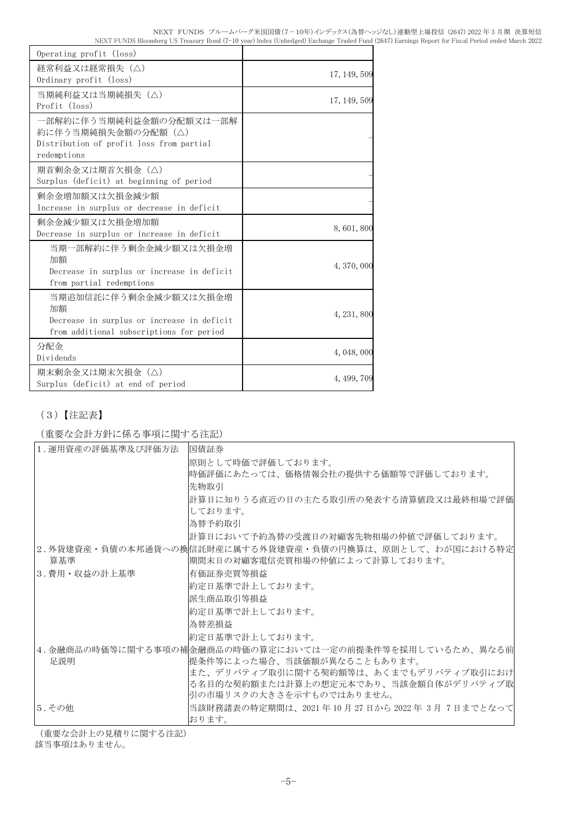| Operating profit (loss)                                                                                               |              |
|-----------------------------------------------------------------------------------------------------------------------|--------------|
| 経常利益又は経常損失(△)<br>Ordinary profit (loss)                                                                               | 17, 149, 509 |
| 当期純利益又は当期純損失 (△)<br>Profit (loss)                                                                                     | 17, 149, 509 |
| 一部解約に伴う当期純利益金額の分配額又は一部解<br>約に伴う当期純損失金額の分配額(△)<br>Distribution of profit loss from partial<br>redemptions              |              |
| 期首剰余金又は期首欠損金(△)<br>Surplus (deficit) at beginning of period                                                           |              |
| 剰余金増加額又は欠損金減少額<br>Increase in surplus or decrease in deficit                                                          |              |
| 剰余金減少額又は欠損金増加額<br>Decrease in surplus or increase in deficit                                                          | 8,601,800    |
| 当期一部解約に伴う剰余金減少額又は欠損金増<br>加額<br>Decrease in surplus or increase in deficit<br>from partial redemptions                 | 4, 370, 000  |
| 当期追加信託に伴う剰余金減少額又は欠損金増<br>加額<br>Decrease in surplus or increase in deficit<br>from additional subscriptions for period | 4, 231, 800  |
| 分配金<br>Dividends                                                                                                      | 4, 048, 000  |
| 期末剰余金又は期末欠損金(△)<br>Surplus (deficit) at end of period                                                                 | 4, 499, 709  |

# (3)【注記表】

(重要な会計方針に係る事項に関する注記)

| 1. 運用資産の評価基準及び評価方法 | 国債証券                                                                                        |
|--------------------|---------------------------------------------------------------------------------------------|
|                    | 原則として時価で評価しております。                                                                           |
|                    | 時価評価にあたっては、価格情報会社の提供する価額等で評価しております。                                                         |
|                    | 先物取引                                                                                        |
|                    | 計算日に知りうる直近の日の主たる取引所の発表する清算値段又は最終相場で評価<br>しております。                                            |
|                    | 為替予約取引                                                                                      |
|                    | 計算日において予約為替の受渡日の対顧客先物相場の仲値で評価しております。                                                        |
| 算基準                | 2.外貨建資産・負債の本邦通貨への換信託財産に属する外貨建資産・負債の円換算は、原則として、わが国における特定 <br> 期間末日の対顧客電信売買相場の仲値によって計算しております。 |
| 3.費用・収益の計上基準       | 有価証券売買等損益                                                                                   |
|                    | 約定日基準で計上しております。                                                                             |
|                    | 派生商品取引等損益                                                                                   |
|                    | 約定日基準で計上しております。                                                                             |
|                    | 為替差損益                                                                                       |
|                    | 約定日基準で計上しております。                                                                             |
| 足説明                | 4.金融商品の時価等に関する事項の補金融商品の時価の算定においては一定の前提条件等を採用しているため、異なる前 <br> 提条件等によった場合、当該価額が異なることもあります。    |
|                    | また、デリバティブ取引に関する契約額等は、あくまでもデリバティブ取引におけ                                                       |
|                    | る名目的な契約額または計算上の想定元本であり、当該金額自体がデリバティブ取                                                       |
|                    | 引の市場リスクの大きさを示すものではありません。                                                                    |
| 5.その他              | 当該財務諸表の特定期間は、2021 年 10 月 27 日から 2022 年 3月 7日までとなって <br>おります。                                |

(重要な会計上の見積りに関する注記)

該当事項はありません。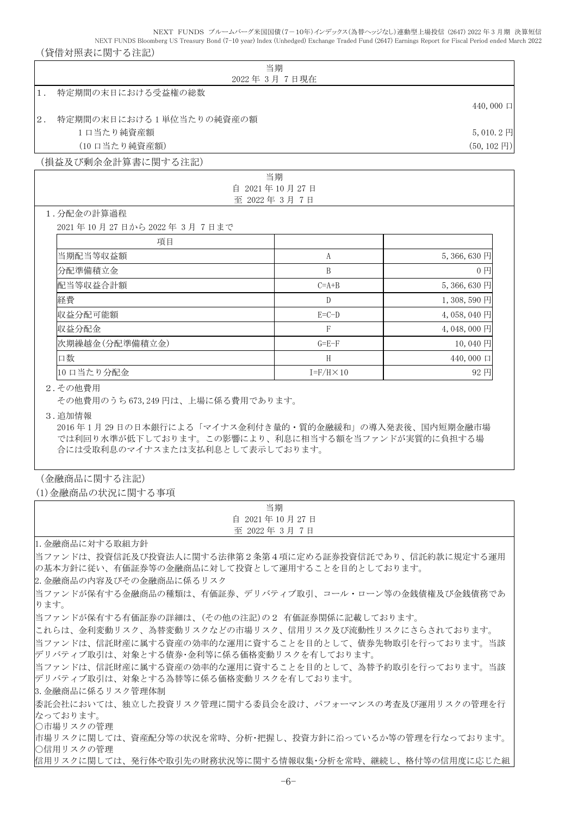NEXT FUNDS ブルームバーグ米国国債(7-10年)インデックス(為替ヘッジなし)連動型上場投信 (2647) 2022 年 3 月期 決算短信 NEXT FUNDS Bloomberg US Treasury Bond (7-10 year) Index (Unhedged) Exchange Traded Fund (2647) Earnings Report for Fiscal Period ended March 2022

### (貸借対照表に関する注記)

|                                                                                                                                                         | 当期                  |                       |
|---------------------------------------------------------------------------------------------------------------------------------------------------------|---------------------|-----------------------|
|                                                                                                                                                         | 2022年3月7日現在         |                       |
| 特定期間の末日における受益権の総数<br>$1$ .                                                                                                                              |                     |                       |
|                                                                                                                                                         |                     | 440,000 口             |
| 特定期間の末日における1単位当たりの純資産の額<br>$2$ .                                                                                                                        |                     |                       |
| 1口当たり純資産額                                                                                                                                               |                     | 5,010.2円              |
| (10 口当たり純資産額)                                                                                                                                           |                     | $(50, 102 \text{ H})$ |
| (損益及び剰余金計算書に関する注記)                                                                                                                                      |                     |                       |
|                                                                                                                                                         | 当期                  |                       |
|                                                                                                                                                         | 自 2021年10月27日       |                       |
| 1.分配金の計算過程                                                                                                                                              | 至 2022年3月7日         |                       |
| 2021年10月27日から2022年3月7日まで                                                                                                                                |                     |                       |
| 項目                                                                                                                                                      |                     |                       |
| 当期配当等収益額                                                                                                                                                | A                   | 5,366,630円            |
|                                                                                                                                                         | B                   | 0 <sub>1</sub>        |
| 分配準備積立金                                                                                                                                                 |                     |                       |
| 配当等収益合計額                                                                                                                                                | $C=A+B$             | 5,366,630円            |
| 経費                                                                                                                                                      | $\mathbb{D}$        | 1,308,590円            |
| 収益分配可能額                                                                                                                                                 | $E=C-D$             | 4,058,040円            |
| 収益分配金                                                                                                                                                   | $\mathsf{F}$        | 4,048,000円            |
| 次期繰越金(分配準備積立金)                                                                                                                                          | $G = E - F$         | 10,040円               |
| 口数                                                                                                                                                      | H                   | 440,000 口             |
| 10 口当たり分配金                                                                                                                                              | $I = F/H \times 10$ | 92円                   |
| 2. その他費用<br>その他費用のうち673,249円は、上場に係る費用であります。                                                                                                             |                     |                       |
| 3. 追加情報<br>2016年1月29日の日本銀行による「マイナス金利付き量的・質的金融緩和」の導入発表後、国内短期金融市場<br>では利回り水準が低下しております。この影響により、利息に相当する額を当ファンドが実質的に負担する場<br>合には受取利息のマイナスまたは支払利息として表示しております。 |                     |                       |

### (金融商品に関する注記)

(1)金融商品の状況に関する事項

| 当期                                                                                                                                                          |
|-------------------------------------------------------------------------------------------------------------------------------------------------------------|
| 自 2021年10月27日                                                                                                                                               |
| 至 2022年 3月 7日                                                                                                                                               |
| 1. 金融商品に対する取組方針                                                                                                                                             |
| 当ファンドは、投資信託及び投資法人に関する法律第2条第4項に定める証券投資信託であり、信託約款に規定する運用<br>の基本方針に従い、有価証券等の金融商品に対して投資として運用することを目的としております。                                                     |
| 2. 金融商品の内容及びその金融商品に係るリスク                                                                                                                                    |
| 当ファンドが保有する金融商品の種類は、有価証券、デリバティブ取引、コール・ローン等の金銭債権及び金銭債務であ<br>ります。                                                                                              |
| 当ファンドが保有する有価証券の詳細は、(その他の注記)の2 有価証券関係に記載しております。                                                                                                              |
| にれらは、金利変動リスク、為替変動リスクなどの市場リスク、信用リスク及び流動性リスクにさらされております。<br>当ファンドは、信託財産に属する資産の効率的な運用に資することを目的として、債券先物取引を行っております。当該<br>デリバティブ取引は、対象とする債券・金利等に係る価格変動リスクを有しております。 |
| 当ファンドは、信託財産に属する資産の効率的な運用に資することを目的として、為替予約取引を行っております。当該<br>デリバティブ取引は、対象とする為替等に係る価格変動リスクを有しております。                                                             |
| 3.金融商品に係るリスク管理体制<br>委託会社においては、独立した投資リスク管理に関する委員会を設け、パフォーマンスの考査及び運用リスクの管理を行<br>なっております。<br>○市場リスクの管理                                                         |
| 市場リスクに関しては、資産配分等の状況を常時、分析・把握し、投資方針に沿っているか等の管理を行なっております。<br>○信用リスクの管理                                                                                        |
| 信用リスクに関しては、発行体や取引先の財務状況等に関する情報収集・分析を常時、継続し、格付等の信用度に応じた組                                                                                                     |
| $-\mathcal{L}$                                                                                                                                              |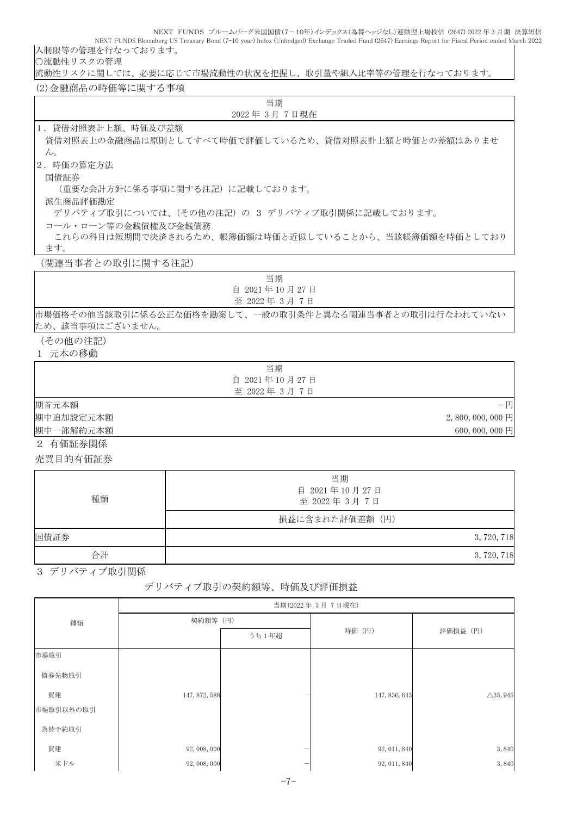NEXT FUNDS ブルームバーグ米国国債(7-10年)インデックス(為替ヘッジなし)連動型上場投信 (2647) 2022 年 3 月期 決算短信 NEXT FUNDS Bloomberg US Treasury Bond (7-10 year) Index (Unhedged) Exchange Traded Fund (2647) Earnings Report for Fiscal Period ended March 2022 入制限等の管理を行なっております。

○流動性リスクの管理

流動性リスクに関しては、必要に応じて市場流動性の状況を把握し、取引量や組入比率等の管理を行なっております。

(2)金融商品の時価等に関する事項

| 当期                                                   |
|------------------------------------------------------|
| 2022年3月7日現在                                          |
| 1. 貸借対照表計上額、時価及び差額                                   |
| 貸借対照表上の金融商品は原則としてすべて時価で評価しているため、貸借対照表計上額と時価との差額はありませ |
| $\lambda$                                            |
| 2. 時価の算定方法                                           |
| 国債証券                                                 |
| (重要な会計方針に係る事項に関する注記)に記載しております。                       |
| 派生商品評価勘定                                             |
| デリバティブ取引については、(その他の注記)の 3 デリバティブ取引関係に記載しております。       |
| コール・ローン等の金銭債権及び金銭債務                                  |
| これらの科目は短期間で決済されるため、帳簿価額は時価と近似していることから、当該帳簿価額を時価としており |
| ます。                                                  |
| (関連当事者との取引に関する注記)                                    |

| 当期                                                     |
|--------------------------------------------------------|
| 自 2021年10月27日                                          |
| 至 2022年 3月 7日                                          |
| 市場価格その他当該取引に係る公正な価格を勘案して、一般の取引条件と異なる関連当事者との取引は行なわれていない |
| た いっ オル 申 百 い マ ギ いナ エリ                                |

ため、該当事項はございません。

#### (その他の注記) 1 元本の移動

|           | 当期            |                   |
|-----------|---------------|-------------------|
|           | 自 2021年10月27日 |                   |
|           | 至 2022年3月7日   |                   |
| 期首元本額     |               | $-\mathbb{H}$     |
| 期中追加設定元本額 |               | $2,800,000,000$ 円 |
| 期中一部解約元本額 |               | 600,000,000円      |
| .         |               |                   |

2 有価証券関係

売買目的有価証券

| 種類   | 当期<br>自 2021年10月27日<br>至 2022年3月7日 |
|------|------------------------------------|
|      | 損益に含まれた評価差額(円)                     |
| 国債証券 | 3,720,718                          |
| 合計   | 3, 720, 718                        |

3 デリバティブ取引関係

## デリバティブ取引の契約額等、時価及び評価損益

|           | 当期(2022年3月7日現在) |       |               |                     |  |
|-----------|-----------------|-------|---------------|---------------------|--|
| 種類        | 契約額等 (円)        |       |               |                     |  |
|           |                 | うち1年超 | 時価 (円)        | 評価損益 (円)            |  |
| 市場取引      |                 |       |               |                     |  |
| 債券先物取引    |                 |       |               |                     |  |
| 買建        | 147, 872, 588   |       | 147, 836, 643 | $\triangle$ 35, 945 |  |
| 市場取引以外の取引 |                 |       |               |                     |  |
| 為替予約取引    |                 |       |               |                     |  |
| 買建        | 92, 008, 000    |       | 92, 011, 840  | 3,840               |  |
| 米ドル       | 92, 008, 000    |       | 92, 011, 840  | 3,840               |  |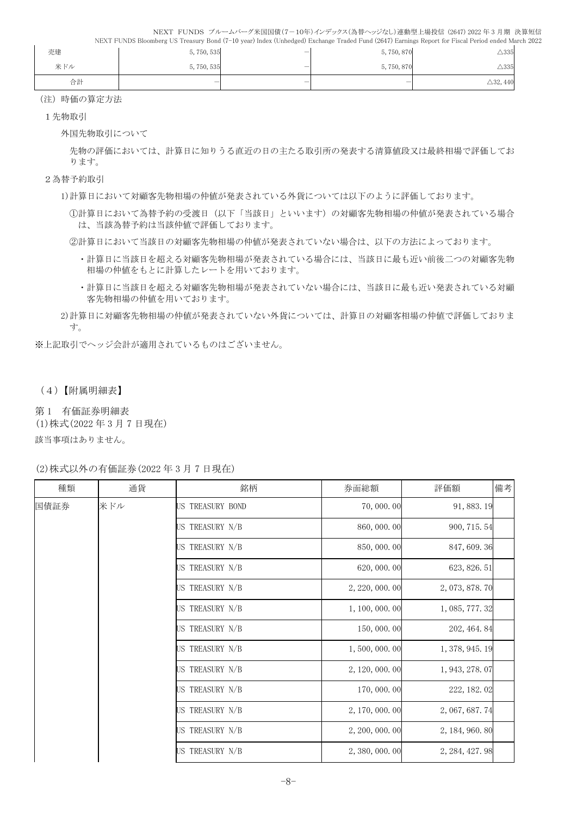| 売建  | 5,750,535 | $\overline{\phantom{0}}$ | 5,750,870 | $\triangle 335$     |
|-----|-----------|--------------------------|-----------|---------------------|
| 米ドル | 5,750,535 |                          | 5,750,870 | $\triangle 335$     |
| 合計  |           |                          | –         | $\triangle$ 32, 440 |

(注)時価の算定方法

1先物取引

外国先物取引について

先物の評価においては、計算日に知りうる直近の日の主たる取引所の発表する清算値段又は最終相場で評価してお ります。

- 2為替予約取引
	- 1)計算日において対顧客先物相場の仲値が発表されている外貨については以下のように評価しております。

①計算日において為替予約の受渡日(以下「当該日」といいます)の対顧客先物相場の仲値が発表されている場合 は、当該為替予約は当該仲値で評価しております。

②計算日において当該日の対顧客先物相場の仲値が発表されていない場合は、以下の方法によっております。

- ・計算日に当該日を超える対顧客先物相場が発表されている場合には、当該日に最も近い前後二つの対顧客先物 相場の仲値をもとに計算したレートを用いております。
- ・計算日に当該日を超える対顧客先物相場が発表されていない場合には、当該日に最も近い発表されている対顧 客先物相場の仲値を用いております。
- 2)計算日に対顧客先物相場の仲値が発表されていない外貨については、計算日の対顧客相場の仲値で評価しておりま す。

※上記取引でヘッジ会計が適用されているものはございません。

(4)【附属明細表】

第 1 有価証券明細表

(1)株式(2022 年 3 月 7 日現在)

該当事項はありません。

(2)株式以外の有価証券(2022 年 3 月 7 日現在)

| 種類   | 通貨  | 銘柄               | 券面総額            | 評価額             | 備考 |
|------|-----|------------------|-----------------|-----------------|----|
| 国債証券 | 米ドル | US TREASURY BOND | 70,000.00       | 91, 883. 19     |    |
|      |     | US TREASURY N/B  | 860, 000.00     | 900, 715.54     |    |
|      |     | US TREASURY N/B  | 850, 000.00     | 847, 609.36     |    |
|      |     | US TREASURY N/B  | 620, 000. 00    | 623, 826.51     |    |
|      |     | US TREASURY N/B  | 2, 220, 000. 00 | 2, 073, 878. 70 |    |
|      |     | US TREASURY N/B  | 1, 100, 000. 00 | 1, 085, 777.32  |    |
|      |     | US TREASURY N/B  | 150,000.00      | 202, 464.84     |    |
|      |     | US TREASURY N/B  | 1,500,000.00    | 1, 378, 945. 19 |    |
|      |     | US TREASURY N/B  | 2, 120, 000. 00 | 1, 943, 278.07  |    |
|      |     | US TREASURY N/B  | 170, 000. 00    | 222, 182.02     |    |
|      |     | US TREASURY N/B  | 2, 170, 000. 00 | 2, 067, 687.74  |    |
|      |     | US TREASURY N/B  | 2, 200, 000, 00 | 2, 184, 960, 80 |    |
|      |     | US TREASURY N/B  | 2, 380, 000. 00 | 2, 284, 427. 98 |    |